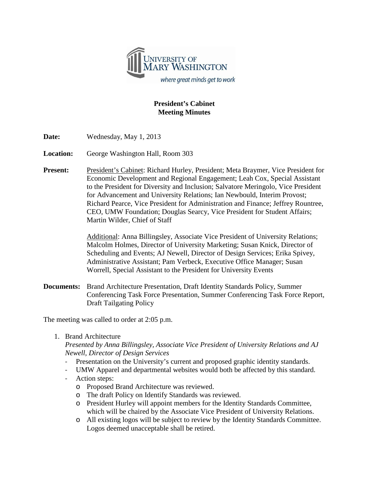

## **President's Cabinet Meeting Minutes**

**Date:** Wednesday, May 1, 2013

**Location:** George Washington Hall, Room 303

**Present:** President's Cabinet: Richard Hurley, President; Meta Braymer, Vice President for Economic Development and Regional Engagement; Leah Cox, Special Assistant to the President for Diversity and Inclusion; Salvatore Meringolo, Vice President for Advancement and University Relations; Ian Newbould, Interim Provost; Richard Pearce, Vice President for Administration and Finance; Jeffrey Rountree, CEO, UMW Foundation; Douglas Searcy, Vice President for Student Affairs; Martin Wilder, Chief of Staff

> Additional: Anna Billingsley, Associate Vice President of University Relations; Malcolm Holmes, Director of University Marketing; Susan Knick, Director of Scheduling and Events; AJ Newell, Director of Design Services; Erika Spivey, Administrative Assistant; Pam Verbeck, Executive Office Manager; Susan Worrell, Special Assistant to the President for University Events

**Documents:** Brand Architecture Presentation, Draft Identity Standards Policy, Summer Conferencing Task Force Presentation, Summer Conferencing Task Force Report, Draft Tailgating Policy

The meeting was called to order at 2:05 p.m.

1. Brand Architecture

## *Presented by Anna Billingsley, Associate Vice President of University Relations and AJ Newell, Director of Design Services*

- Presentation on the University's current and proposed graphic identity standards.
- UMW Apparel and departmental websites would both be affected by this standard.
- Action steps:
	- o Proposed Brand Architecture was reviewed.
	- o The draft Policy on Identify Standards was reviewed.
	- o President Hurley will appoint members for the Identity Standards Committee, which will be chaired by the Associate Vice President of University Relations.
	- o All existing logos will be subject to review by the Identity Standards Committee. Logos deemed unacceptable shall be retired.